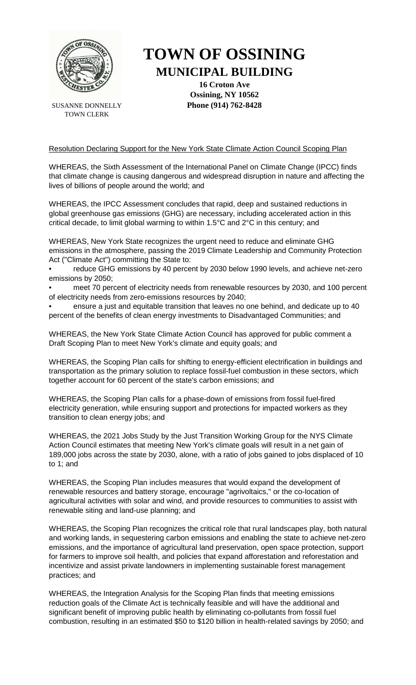

SUSANNE DONNELLY TOWN CLERK

## **TOWN OF OSSINING MUNICIPAL BUILDING**

**16 Croton Ave Ossining, NY 10562 Phone (914) 762-8428**

## Resolution Declaring Support for the New York State Climate Action Council Scoping Plan

WHEREAS, the Sixth Assessment of the International Panel on Climate Change (IPCC) finds that climate change is causing dangerous and widespread disruption in nature and affecting the lives of billions of people around the world; and

WHEREAS, the IPCC Assessment concludes that rapid, deep and sustained reductions in global greenhouse gas emissions (GHG) are necessary, including accelerated action in this critical decade, to limit global warming to within 1.5°C and 2°C in this century; and

WHEREAS, New York State recognizes the urgent need to reduce and eliminate GHG emissions in the atmosphere, passing the 2019 Climate Leadership and Community Protection Act ("Climate Act") committing the State to:

• reduce GHG emissions by 40 percent by 2030 below 1990 levels, and achieve net-zero emissions by 2050;

• meet 70 percent of electricity needs from renewable resources by 2030, and 100 percent of electricity needs from zero-emissions resources by 2040;

• ensure a just and equitable transition that leaves no one behind, and dedicate up to 40 percent of the benefits of clean energy investments to Disadvantaged Communities; and

WHEREAS, the New York State Climate Action Council has approved for public comment a Draft Scoping Plan to meet New York's climate and equity goals; and

WHEREAS, the Scoping Plan calls for shifting to energy-efficient electrification in buildings and transportation as the primary solution to replace fossil-fuel combustion in these sectors, which together account for 60 percent of the state's carbon emissions; and

WHEREAS, the Scoping Plan calls for a phase-down of emissions from fossil fuel-fired electricity generation, while ensuring support and protections for impacted workers as they transition to clean energy jobs; and

WHEREAS, the 2021 Jobs Study by the Just Transition Working Group for the NYS Climate Action Council estimates that meeting New York's climate goals will result in a net gain of 189,000 jobs across the state by 2030, alone, with a ratio of jobs gained to jobs displaced of 10 to 1; and

WHEREAS, the Scoping Plan includes measures that would expand the development of renewable resources and battery storage, encourage "agrivoltaics," or the co-location of agricultural activities with solar and wind, and provide resources to communities to assist with renewable siting and land-use planning; and

WHEREAS, the Scoping Plan recognizes the critical role that rural landscapes play, both natural and working lands, in sequestering carbon emissions and enabling the state to achieve net-zero emissions, and the importance of agricultural land preservation, open space protection, support for farmers to improve soil health, and policies that expand afforestation and reforestation and incentivize and assist private landowners in implementing sustainable forest management practices; and

WHEREAS, the Integration Analysis for the Scoping Plan finds that meeting emissions reduction goals of the Climate Act is technically feasible and will have the additional and significant benefit of improving public health by eliminating co-pollutants from fossil fuel combustion, resulting in an estimated \$50 to \$120 billion in health-related savings by 2050; and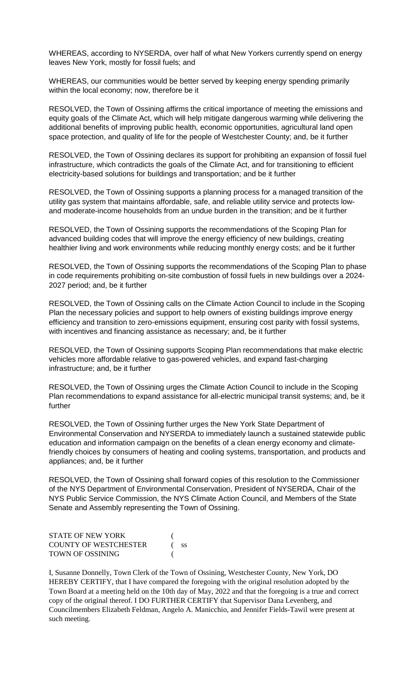WHEREAS, according to NYSERDA, over half of what New Yorkers currently spend on energy leaves New York, mostly for fossil fuels; and

WHEREAS, our communities would be better served by keeping energy spending primarily within the local economy; now, therefore be it

RESOLVED, the Town of Ossining affirms the critical importance of meeting the emissions and equity goals of the Climate Act, which will help mitigate dangerous warming while delivering the additional benefits of improving public health, economic opportunities, agricultural land open space protection, and quality of life for the people of Westchester County; and, be it further

RESOLVED, the Town of Ossining declares its support for prohibiting an expansion of fossil fuel infrastructure, which contradicts the goals of the Climate Act, and for transitioning to efficient electricity-based solutions for buildings and transportation; and be it further

RESOLVED, the Town of Ossining supports a planning process for a managed transition of the utility gas system that maintains affordable, safe, and reliable utility service and protects lowand moderate-income households from an undue burden in the transition; and be it further

RESOLVED, the Town of Ossining supports the recommendations of the Scoping Plan for advanced building codes that will improve the energy efficiency of new buildings, creating healthier living and work environments while reducing monthly energy costs; and be it further

RESOLVED, the Town of Ossining supports the recommendations of the Scoping Plan to phase in code requirements prohibiting on-site combustion of fossil fuels in new buildings over a 2024- 2027 period; and, be it further

RESOLVED, the Town of Ossining calls on the Climate Action Council to include in the Scoping Plan the necessary policies and support to help owners of existing buildings improve energy efficiency and transition to zero-emissions equipment, ensuring cost parity with fossil systems, with incentives and financing assistance as necessary; and, be it further

RESOLVED, the Town of Ossining supports Scoping Plan recommendations that make electric vehicles more affordable relative to gas-powered vehicles, and expand fast-charging infrastructure; and, be it further

RESOLVED, the Town of Ossining urges the Climate Action Council to include in the Scoping Plan recommendations to expand assistance for all-electric municipal transit systems; and, be it further

RESOLVED, the Town of Ossining further urges the New York State Department of Environmental Conservation and NYSERDA to immediately launch a sustained statewide public education and information campaign on the benefits of a clean energy economy and climatefriendly choices by consumers of heating and cooling systems, transportation, and products and appliances; and, be it further

RESOLVED, the Town of Ossining shall forward copies of this resolution to the Commissioner of the NYS Department of Environmental Conservation, President of NYSERDA, Chair of the NYS Public Service Commission, the NYS Climate Action Council, and Members of the State Senate and Assembly representing the Town of Ossining.

| <b>STATE OF NEW YORK</b>     |      |
|------------------------------|------|
| <b>COUNTY OF WESTCHESTER</b> | - SS |
| TOWN OF OSSINING             |      |

I, Susanne Donnelly, Town Clerk of the Town of Ossining, Westchester County, New York, DO HEREBY CERTIFY, that I have compared the foregoing with the original resolution adopted by the Town Board at a meeting held on the 10th day of May, 2022 and that the foregoing is a true and correct copy of the original thereof. I DO FURTHER CERTIFY that Supervisor Dana Levenberg, and Councilmembers Elizabeth Feldman, Angelo A. Manicchio, and Jennifer Fields-Tawil were present at such meeting.